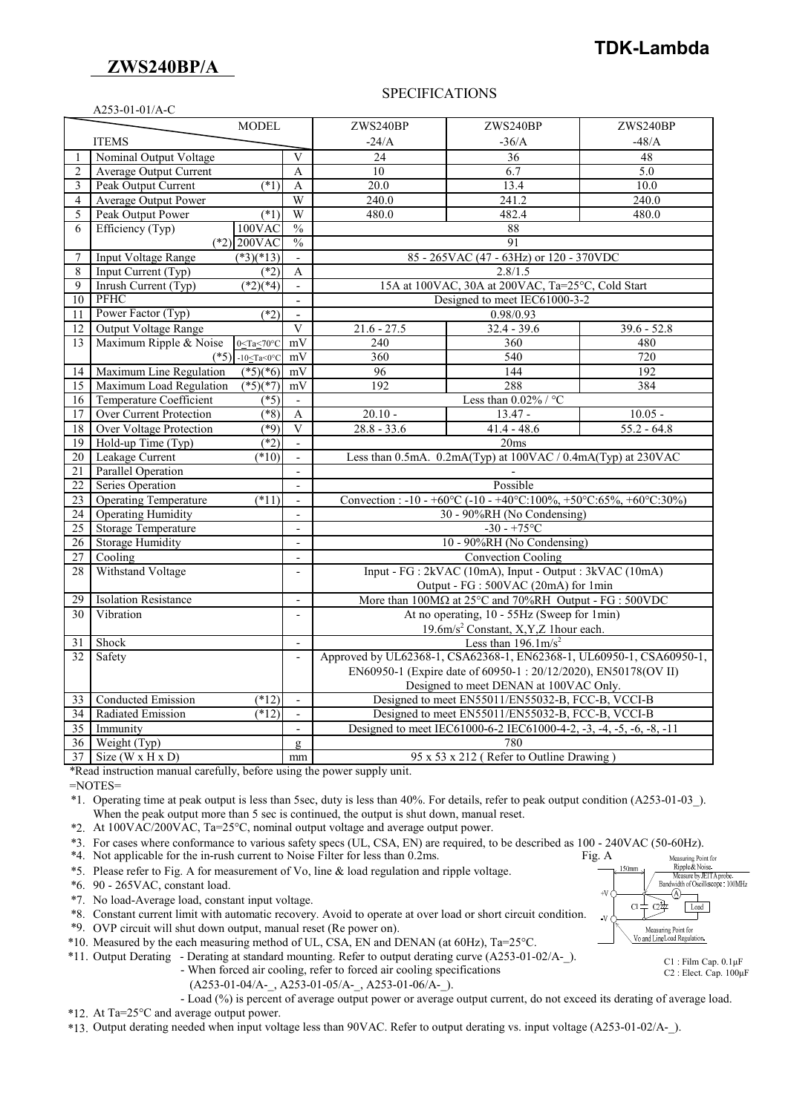## **ZWS240BP/A**

# **TDK-Lambda**

#### SPECIFICATIONS

| A253-01-01/A-C  |                                                                                 |                                                                               |                                                                                |                                                                                                          |               |  |
|-----------------|---------------------------------------------------------------------------------|-------------------------------------------------------------------------------|--------------------------------------------------------------------------------|----------------------------------------------------------------------------------------------------------|---------------|--|
|                 | <b>MODEL</b>                                                                    |                                                                               | ZWS240BP                                                                       | ZWS240BP                                                                                                 | ZWS240BP      |  |
|                 | <b>ITEMS</b>                                                                    |                                                                               | $-24/A$                                                                        | $-36/A$                                                                                                  | $-48/A$       |  |
| 1               | Nominal Output Voltage                                                          | V                                                                             | 24                                                                             | 36                                                                                                       | 48            |  |
| $\overline{c}$  | <b>Average Output Current</b>                                                   | $\mathsf{A}$                                                                  | 10                                                                             | 6.7                                                                                                      | 5.0           |  |
| 3               | Peak Output Current<br>$(*1)$                                                   | $\mathbf{A}$                                                                  | 20.0                                                                           | 13.4                                                                                                     | 10.0          |  |
| $\overline{4}$  | <b>Average Output Power</b>                                                     | W                                                                             | 240.0                                                                          | 241.2                                                                                                    | 240.0         |  |
| 5               | Peak Output Power<br>$(*1)$                                                     | W                                                                             | 480.0                                                                          | 482.4                                                                                                    | 480.0         |  |
| 6               | Efficiency (Typ)<br>100VAC                                                      | $\frac{0}{0}$                                                                 |                                                                                | 88                                                                                                       |               |  |
|                 | $(*2)$ 200VAC                                                                   | $\frac{0}{0}$                                                                 |                                                                                | 91                                                                                                       |               |  |
| 7               | <b>Input Voltage Range</b><br>$(*3)(*13)$                                       | $\blacksquare$                                                                |                                                                                | 85 - 265VAC (47 - 63Hz) or 120 - 370VDC                                                                  |               |  |
| 8               | (2)<br>Input Current (Typ)                                                      | A                                                                             |                                                                                | 2.8/1.5                                                                                                  |               |  |
| 9               | Inrush Current (Typ)<br>$(*2)(*4)$                                              | $\overline{a}$                                                                | 15A at 100VAC, 30A at 200VAC, Ta=25°C, Cold Start                              |                                                                                                          |               |  |
| 10              | PFHC                                                                            | $\blacksquare$                                                                | Designed to meet IEC61000-3-2                                                  |                                                                                                          |               |  |
| 11              | Power Factor (Typ)<br>$(*2)$                                                    | $\blacksquare$                                                                | 0.98/0.93                                                                      |                                                                                                          |               |  |
| 12              | Output Voltage Range                                                            | $\overline{\mathbf{V}}$                                                       | $21.6 - 27.5$                                                                  | $32.4 - 39.6$                                                                                            | $39.6 - 52.8$ |  |
| 13              | Maximum Ripple & Noise<br>$0 < Ta < 70^{\circ}C$                                | $m\overline{V}$                                                               | 240                                                                            | 360                                                                                                      | 480           |  |
|                 | $(*5)$<br>-10 <ta<0<math>\degreeC</ta<0<math>                                   | mV                                                                            | 360                                                                            | 540                                                                                                      | 720           |  |
| 14              | Maximum Line Regulation<br>$(*5)(*6)$                                           | mV                                                                            | 96                                                                             | 144                                                                                                      | 192           |  |
| 15              | Maximum Load Regulation<br>$(*5)(*7)$                                           | mV                                                                            | 192                                                                            | 288                                                                                                      | 384           |  |
| 16              | Temperature Coefficient<br>$( *5)$                                              | $\mathbf{r}$                                                                  |                                                                                | Less than $0.02\%$ / °C                                                                                  |               |  |
| 17              | Over Current Protection<br>$(*8)$                                               | A                                                                             | $20.10 -$                                                                      | $13.47 -$                                                                                                | $10.05 -$     |  |
| 18              | <b>Over Voltage Protection</b><br>$(*9)$                                        | $\overline{\mathbf{V}}$                                                       | $28.8 - 33.6$                                                                  | $41.4 - 48.6$                                                                                            | $55.2 - 64.8$ |  |
| 19              | Hold-up Time (Typ)<br>$(*2)$                                                    | $\mathcal{L}$                                                                 |                                                                                | 20ms                                                                                                     |               |  |
| $20\,$          | (10)<br>Leakage Current                                                         | $\mathbf{r}$                                                                  |                                                                                | Less than 0.5mA. 0.2mA(Typ) at 100VAC / 0.4mA(Typ) at 230VAC                                             |               |  |
| 21              | <b>Parallel Operation</b>                                                       |                                                                               |                                                                                |                                                                                                          |               |  |
| $\overline{22}$ | Series Operation                                                                | $\blacksquare$                                                                |                                                                                | Possible                                                                                                 |               |  |
| $\overline{23}$ | <b>Operating Temperature</b><br>$(*11)$                                         | $\blacksquare$                                                                |                                                                                | Convection: $-10 - +60\degree$ C $(-10 - +40\degree$ C: $100\% + 50\degree$ C: 65%, $+60\degree$ C: 30%) |               |  |
| $\overline{24}$ | <b>Operating Humidity</b><br>$\sim$                                             |                                                                               | 30 - 90%RH (No Condensing)                                                     |                                                                                                          |               |  |
| 25              | <b>Storage Temperature</b><br>$\overline{\phantom{a}}$                          |                                                                               | $-30 - +75$ °C                                                                 |                                                                                                          |               |  |
| 26              | <b>Storage Humidity</b>                                                         |                                                                               |                                                                                | 10 - 90%RH (No Condensing)                                                                               |               |  |
| 27              | Cooling                                                                         | $\blacksquare$                                                                | <b>Convection Cooling</b>                                                      |                                                                                                          |               |  |
| 28              | Withstand Voltage                                                               | $\mathbf{r}$                                                                  |                                                                                | Input - FG : 2kVAC (10mA), Input - Output : 3kVAC (10mA)                                                 |               |  |
|                 |                                                                                 |                                                                               | Output - FG : 500VAC (20mA) for 1min                                           |                                                                                                          |               |  |
| 29              | <b>Isolation Resistance</b>                                                     | $\overline{\phantom{a}}$                                                      | More than $100M\Omega$ at $25^{\circ}$ C and $70\%$ RH Output - FG : $500$ VDC |                                                                                                          |               |  |
| 30              | Vibration                                                                       | $\overline{\phantom{a}}$                                                      |                                                                                | At no operating, 10 - 55Hz (Sweep for 1min)                                                              |               |  |
|                 | 19.6m/s <sup>2</sup> Constant, X, Y, Z 1 hour each.                             |                                                                               |                                                                                |                                                                                                          |               |  |
| 31              | Shock                                                                           | $\blacksquare$                                                                | Less than $196.1 \text{m/s}^2$                                                 |                                                                                                          |               |  |
| 32              | Safety                                                                          |                                                                               | Approved by UL62368-1, CSA62368-1, EN62368-1, UL60950-1, CSA60950-1,           |                                                                                                          |               |  |
|                 |                                                                                 | EN60950-1 (Expire date of 60950-1: 20/12/2020), EN50178(OV II)                |                                                                                |                                                                                                          |               |  |
|                 | Designed to meet DENAN at 100VAC Only.                                          |                                                                               |                                                                                |                                                                                                          |               |  |
| 33              | Conducted Emission<br>$(*12)$<br>$\mathbf{r}$                                   |                                                                               |                                                                                | Designed to meet EN55011/EN55032-B, FCC-B, VCCI-B                                                        |               |  |
| 34              | Radiated Emission<br>$(*12)$                                                    | Designed to meet EN55011/EN55032-B, FCC-B, VCCI-B<br>$\overline{\phantom{a}}$ |                                                                                |                                                                                                          |               |  |
| $\overline{35}$ | Designed to meet IEC61000-6-2 IEC61000-4-2, -3, -4, -5, -6, -8, -11<br>Immunity |                                                                               |                                                                                |                                                                                                          |               |  |
| 36 <sup>1</sup> | Weight (Typ)<br>780<br>$\mathfrak{Q}$                                           |                                                                               |                                                                                |                                                                                                          |               |  |
|                 | 95 x 53 x 212 (Refer to Outline Drawing)<br>$37$ Size (W x H x D)<br>mm         |                                                                               |                                                                                |                                                                                                          |               |  |

\*Read instruction manual carefully, before using the power supply unit.

=NOTES=

\*1. Operating time at peak output is less than 5sec, duty is less than 40%. For details, refer to peak output condition (A253-01-03\_). When the peak output more than 5 sec is continued, the output is shut down, manual reset.

\*2. At 100VAC/200VAC, Ta=25°C, nominal output voltage and average output power.

\*3. For cases where conformance to various safety specs (UL, CSA, EN) are required, to be described as 100 - 240VAC (50-60Hz).

\*4. Not applicable for the in-rush current to Noise Filter for less than 0.2ms. Fig. A

\*5. Please refer to Fig. A for measurement of Vo, line & load regulation and ripple voltage.

\*6. 90 - 265VAC, constant load.

- \*7. No load-Average load, constant input voltage.
- \*8. Constant current limit with automatic recovery. Avoid to operate at over load or short circuit condition.

\*9. OVP circuit will shut down output, manual reset (Re power on).

\*10. Measured by the each measuring method of UL, CSA, EN and DENAN (at 60Hz), Ta=25°C.

\*11. Output Derating - Derating at standard mounting. Refer to output derating curve (A253-01-02/A-\_).

 - When forced air cooling, refer to forced air cooling specifications  $(A253-01-04/A-$ ,  $A253-01-05/A-$ ,  $A253-01-06/A-$ ).

- Load (%) is percent of average output power or average output current, do not exceed its derating of average load.

\*12. At Ta=25°C and average output power.

\*13. Output derating needed when input voltage less than 90VAC. Refer to output derating vs. input voltage (A253-01-02/A-\_).



C1 : Film Cap. 0.1μF C2 : Elect. Cap. 100μF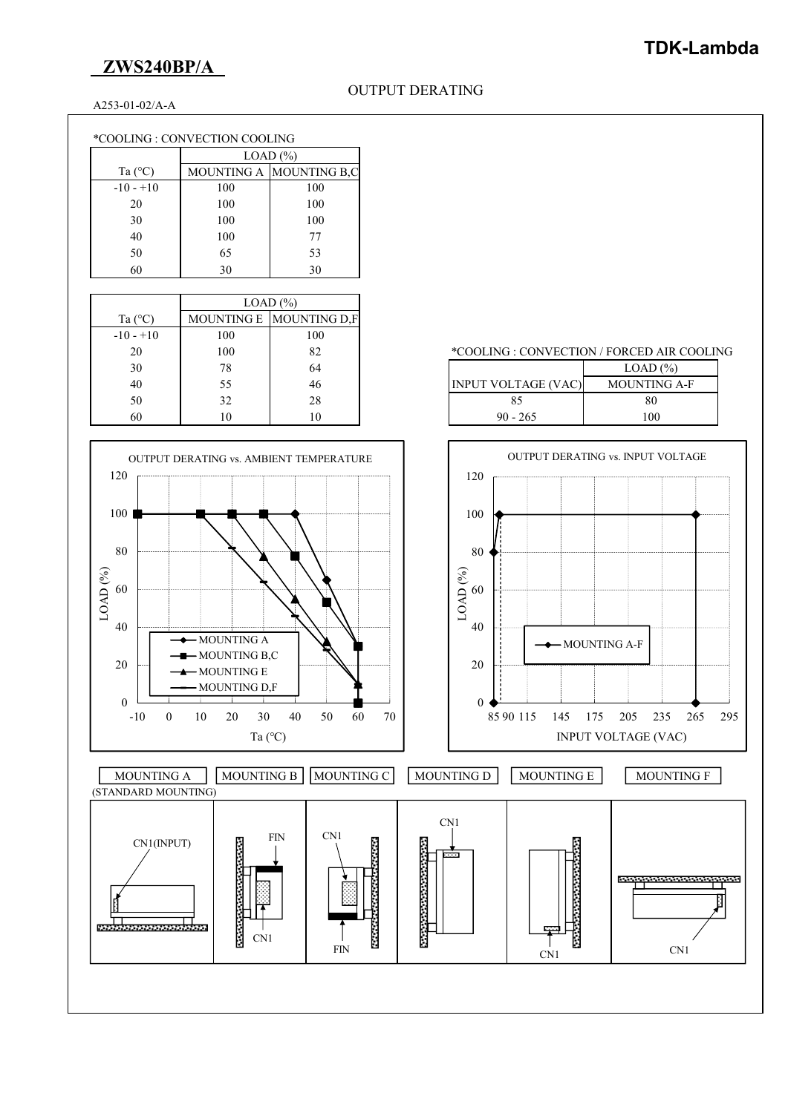# **ZWS240BP/A**

## **TDK-Lambda**

 $\ast$  COOLING : CONVECTION / FORCED AIR COOLING

INPUT VOLTAGE (VAC) MOUNTING A-F

A253-01-02/A-A

| *COOLING : CONVECTION COOLING |
|-------------------------------|
|-------------------------------|

|                  | LOAD (%) |                         |  |
|------------------|----------|-------------------------|--|
| Ta $(^{\circ}C)$ |          | MOUNTING A MOUNTING B,C |  |
| $-10 - +10$      | 100      | 100                     |  |
| 20               | 100      | 100                     |  |
| 30               | 100      | 100                     |  |
| 40               | 100      | 77                      |  |
| 50               | 65       | 53                      |  |
| 60               | 30       | 30                      |  |

|                  | LOAD (%) |                         |  |
|------------------|----------|-------------------------|--|
| Ta $(^{\circ}C)$ |          | MOUNTING E MOUNTING D.F |  |
| $-10 - +10$      | 100      | 100                     |  |
| 20               | 100      | 82                      |  |
| 30               | 78       | 64                      |  |
| 40               | 55       | 46                      |  |
| 50               | 32       | 28                      |  |
| 60               | 10       | 10                      |  |

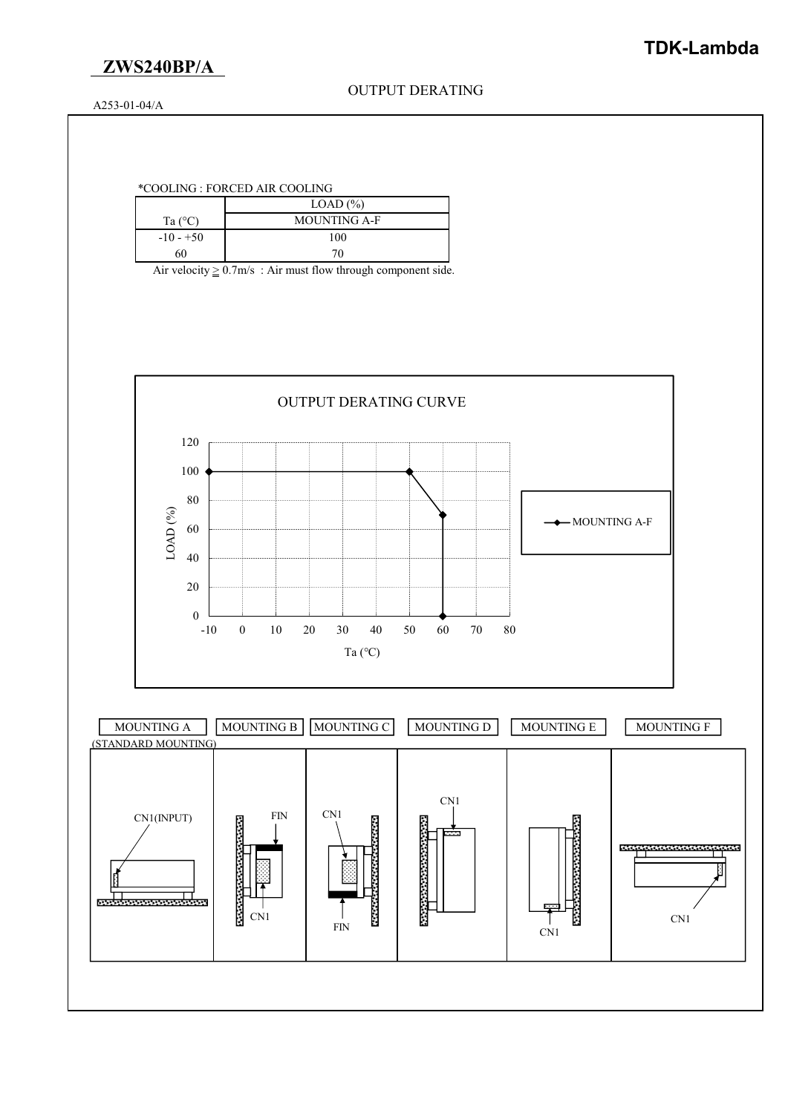

A253-01-04/A

### \*COOLING : FORCED AIR COOLING

|                  | LOAD $(\%)$         |  |
|------------------|---------------------|--|
| Ta $(^{\circ}C)$ | <b>MOUNTING A-F</b> |  |
| $-10 - +50$      | 100                 |  |
| 60               | $70-$               |  |

Air velocity  $\geq$  0.7m/s : Air must flow through component side.

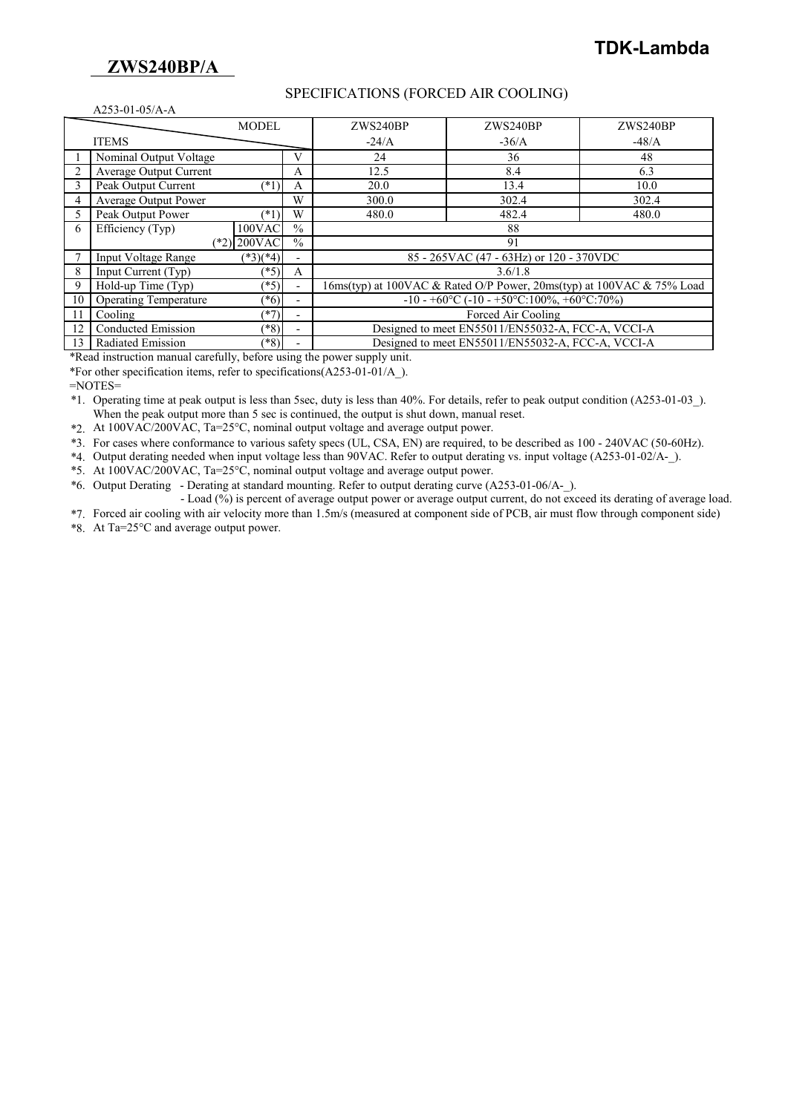## **ZWS240BP/A**

#### SPECIFICATIONS (FORCED AIR COOLING)

| A253-01-05/A-A |                                                                                                       |               |               |                                                                         |                                            |          |
|----------------|-------------------------------------------------------------------------------------------------------|---------------|---------------|-------------------------------------------------------------------------|--------------------------------------------|----------|
|                |                                                                                                       | <b>MODEL</b>  |               | ZWS240BP                                                                | ZWS240BP                                   | ZWS240BP |
| <b>ITEMS</b>   |                                                                                                       |               |               | $-24/A$                                                                 | $-36/A$                                    | $-48/A$  |
|                | Nominal Output Voltage                                                                                |               | V             | 24                                                                      | 36                                         | 48       |
|                | Average Output Current                                                                                |               | A             | 12.5                                                                    | 8.4                                        | 6.3      |
|                | Peak Output Current                                                                                   | $(*1)$        | A             | 20.0                                                                    | 13.4                                       | 10.0     |
|                | <b>Average Output Power</b>                                                                           |               | W             | 300.0                                                                   | 302.4                                      | 302.4    |
|                | Peak Output Power                                                                                     | $(*1)$        | W             | 480.0                                                                   | 482.4                                      | 480.0    |
| 6              | Efficiency (Typ)                                                                                      | $100$ VAC     | $\frac{0}{0}$ |                                                                         | 88                                         |          |
|                |                                                                                                       | $(*2)$ 200VAC | $\frac{0}{0}$ |                                                                         | 91                                         |          |
|                | <b>Input Voltage Range</b>                                                                            | $(*3)(*4)$    |               |                                                                         | 85 - 265 VAC (47 - 63 Hz) or 120 - 370 VDC |          |
| 8              | Input Current (Typ)                                                                                   | $(*5)$        | A             | 3.6/1.8                                                                 |                                            |          |
| 9              | Hold-up Time (Typ)<br>$(*5)$<br>16ms(typ) at 100VAC & Rated O/P Power, 20ms(typ) at 100VAC & 75% Load |               |               |                                                                         |                                            |          |
| 10             | <b>Operating Temperature</b>                                                                          | $(*6)$        |               | $-10 - +60\degree C$ ( $-10 - +50\degree C$ :100%, $+60\degree C$ :70%) |                                            |          |
| 11             | Cooling                                                                                               | $(*7)$        | -             | Forced Air Cooling                                                      |                                            |          |
| 12             | Conducted Emission                                                                                    | $(*8)$        |               | Designed to meet EN55011/EN55032-A, FCC-A, VCCI-A                       |                                            |          |
| 13             | Radiated Emission                                                                                     | $(*8)$        |               | Designed to meet EN55011/EN55032-A, FCC-A, VCCI-A                       |                                            |          |

\*Read instruction manual carefully, before using the power supply unit.

\*For other specification items, refer to specifications(A253-01-01/A\_).

 $=$ NOTES $=$ 

\*1. Operating time at peak output is less than 5sec, duty is less than 40%. For details, refer to peak output condition (A253-01-03\_). When the peak output more than 5 sec is continued, the output is shut down, manual reset.

\*2. At 100VAC/200VAC, Ta=25°C, nominal output voltage and average output power.

\*3. For cases where conformance to various safety specs (UL, CSA, EN) are required, to be described as 100 - 240VAC (50-60Hz).

\*4. Output derating needed when input voltage less than 90VAC. Refer to output derating vs. input voltage (A253-01-02/A-\_).

\*5. At 100VAC/200VAC, Ta=25°C, nominal output voltage and average output power.

\*6. Output Derating - Derating at standard mounting. Refer to output derating curve (A253-01-06/A-\_).

 - Load (%) is percent of average output power or average output current, do not exceed its derating of average load. \*7. Forced air cooling with air velocity more than 1.5m/s (measured at component side of PCB, air must flow through component side)

\*8. At Ta=25°C and average output power.